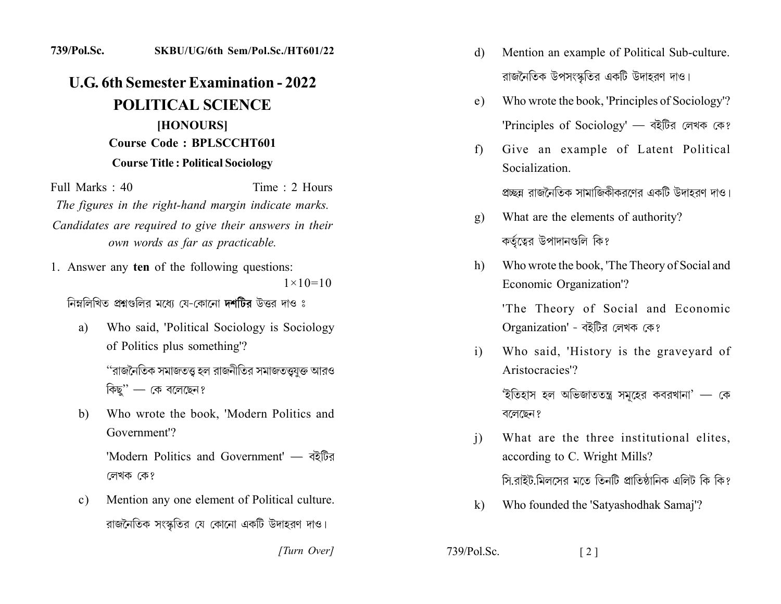## 739/Pol.Sc. SKBU/UG/6th Sem/Pol.Sc./HT601/22

## **U.G. 6th Semester Examination - 2022 POLITICAL SCIENCE** [HONOURS] **Course Code: BPLSCCHT601 Course Title: Political Sociology**

Full Marks: 40 Time: 2 Hours The figures in the right-hand margin indicate marks. Candidates are required to give their answers in their own words as far as practicable.

1. Answer any ten of the following questions:  $1 \times 10 = 10$ 

নিম্নলিখিত প্ৰশ্নগুলির মধ্যে যে-কোনো **দশটির** উত্তর দাও ঃ

- Who said, 'Political Sociology is Sociology a) of Politics plus something'? ''রাজনৈতিক সমাজতত্ত হল রাজনীতির সমাজতত্ত্ব্যক্ত আরও কিছ'' $-$  কে বলেছেন?
- Who wrote the book, 'Modern Politics and b) Government<sup>'</sup>?

'Modern Politics and Government' — वर्देण्डित লেখক কে?

Mention any one element of Political culture.  $\mathbf{c})$ রাজনৈতিক সংস্কৃতির যে কোনো একটি উদাহরণ দাও।

[Turn Over]

- Mention an example of Political Sub-culture. d) রাজনৈতিক উপসংস্কৃতির একটি উদাহরণ দাও।
- Who wrote the book, 'Principles of Sociology'? e) 'Principles of Sociology' — বইটির লেখক কে?
- Give an example of Latent Political  $f$ ) Socialization

প্রচ্ছন্ন রাজনৈতিক সামাজিকীকরণের একটি উদাহরণ দাও।

- What are the elements of authority? g) কর্তৃত্বের উপাদানগুলি কি?
- Who wrote the book, 'The Theory of Social and  $h)$ Economic Organization'?

'The Theory of Social and Economic Organization' - বইটির লেখক কে?

Who said, 'History is the graveyard of  $\mathbf{i}$ Aristocracies'?

> 'ইতিহাস হল অভিজাততন্ত্র সমুহের কবরখানা' — কে বলেছেন ?

- What are the three institutional elites,  $\mathbf{i}$ according to C. Wright Mills? সি.রাইট.মিলসের মতে তিনটি প্রাতিষ্ঠানিক এলিট কি কি?
- $\mathbf{k}$ Who founded the 'Satyashodhak Samaj'?

 $\lceil 2 \rceil$ 

739/Pol.Sc.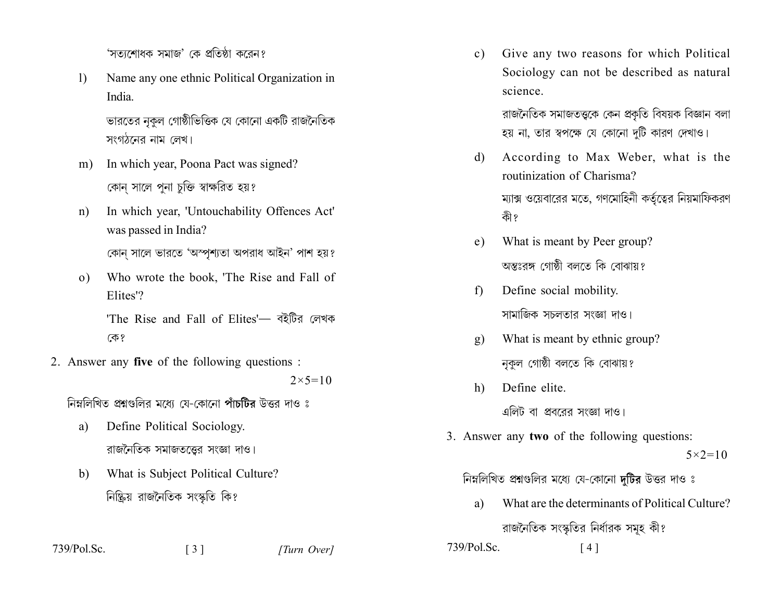'সতাশোধক সমাজ' কে প্রতিষ্ঠা করেন?

 $\left| \right\rangle$ Name any one ethnic Political Organization in India.

> ভারতের নুকুল গোষ্ঠীভিত্তিক যে কোনো একটি রাজনৈতিক সংগঠনের নাম লেখ।

- In which year, Poona Pact was signed?  $m)$ কোন সালে পুনা চুক্তি স্বাক্ষরিত হয়?
- In which year, 'Untouchability Offences Act'  $n)$ was passed in India?

কোন সালে ভারতে 'অস্পশ্যতা অপরাধ আইন' পাশ হয়?

Who wrote the book, 'The Rise and Fall of  $\Omega$ ) Elites'?

> 'The Rise and Fall of Elites'- বইটির লেখক কে?

2. Answer any five of the following questions :

 $2 \times 5 = 10$ 

[Turn Over]

নিম্নলিখিত প্রশ্নগুলির মধ্যে যে-কোনো পাঁচটির উত্তর দাও ঃ

- Define Political Sociology. a) রাজনৈতিক সমাজতত্তের সংজ্ঞা দাও।
- What is Subject Political Culture? b) নিষ্ক্রিয় রাজনৈতিক সংস্কৃতি কি?

 $\begin{bmatrix} 3 \end{bmatrix}$ 

 $739/Pol$ . Sc.

Give any two reasons for which Political  $c)$ Sociology can not be described as natural science.

> রাজনৈতিক সমাজতত্ত্বকে কেন প্রকৃতি বিষয়ক বিজ্ঞান বলা হয় না, তার স্বপক্ষে যে কোনো দটি কারণ দেখাও।

- According to Max Weber, what is the d) routinization of Charisma? ম্যাক্স ওয়েবারের মতে, গণমোহিনী কর্তৃত্বের নিয়মাফিকরণ কী?
- What is meant by Peer group?  $e)$ অন্তঃরঙ্গ গোষ্ঠী বলতে কি বোঝায়?
- Define social mobility.  $f$ ) সামাজিক সচলতার সংজ্ঞা দাও।
- What is meant by ethnic group?  $g)$ নকল গোষ্ঠী বলতে কি বোঝায়?
- Define elite.  $h)$ এলিট বা প্রবরের সংজ্ঞা দাও।
- 3. Answer any two of the following questions:  $5 \times 2 = 10$

## নিম্নলিখিত প্রশ্নগুলির মধ্যে যে-কোনো দুটির উত্তর দাও ঃ

What are the determinants of Political Culture? a) রাজনৈতিক সংস্কৃতির নির্ধারক সমূহ কী?  $739/P<sub>ol</sub>$  Sc  $[4]$